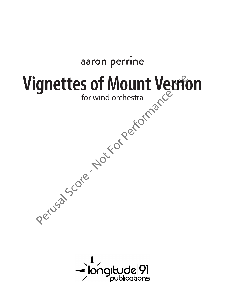

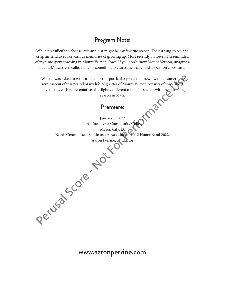## Program Note:

While it's difficult to choose, autumn just might be my favorite season. The turning colors and crisp air tend to evoke various memories of growing up. Most recently, however, I'm reminded of my time spent teaching in Mount Vernon, Iowa. If you don't know Mount Vernon, imagine a quaint Midwestern college town—something picturesque that could appear on a postcard.

When I was asked to write a suite for this particular project, I knew I wanted something reminiscent of this period of my life. Vignettes of Mount Vernon consists of three short movements, each representative of a slightly different mood I associate with the changing season in Iowa.

## Premiere:

January 8, 2022 North Iowa Area Community College Mason City, IA North Central Iowa Bandmasters Association 11/12 Honor Band 2022; Aaron Perrine, conductor Perusal Score Not Formance

www.aaronperrine.com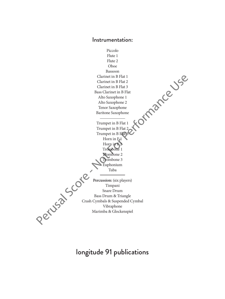### Instrumentation:



## longitude 91 publications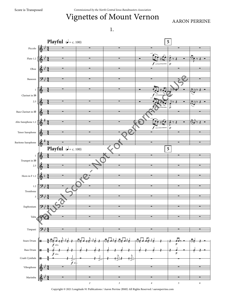**AARON PERRINE** 

1. 



Copyright  $@$  2021 Longitude 91 Publications / Aaron Perrine (BMI) All Rights Reserved / aaronperrine.com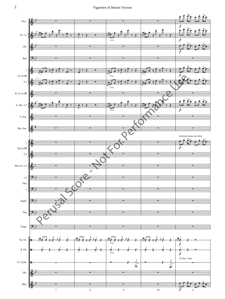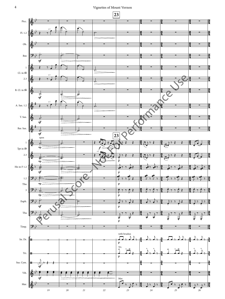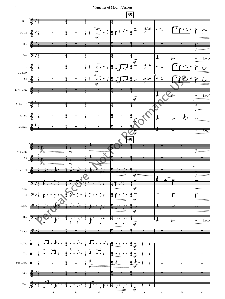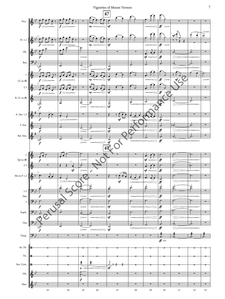

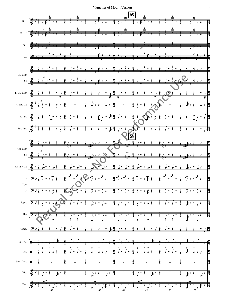Vignettes of Mount Vernon 9

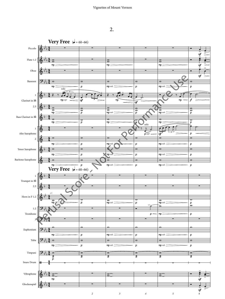

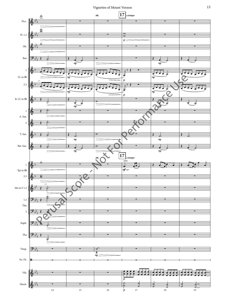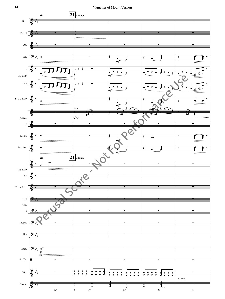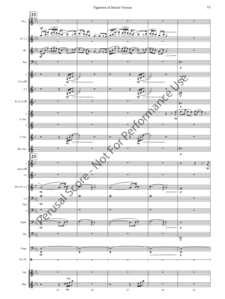Vignettes of Mount Vernon 15

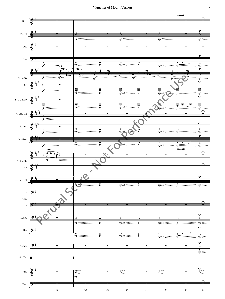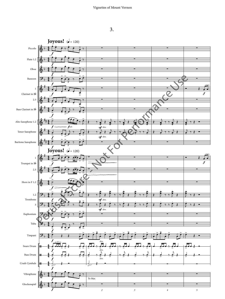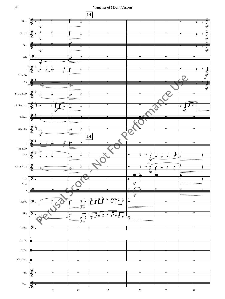20 Vignettes of Mount Vernon

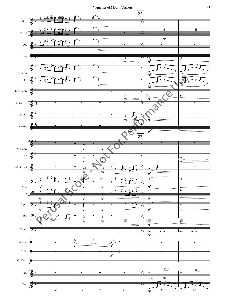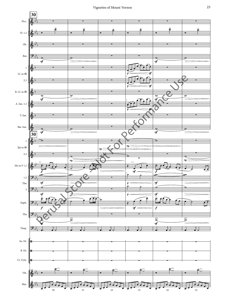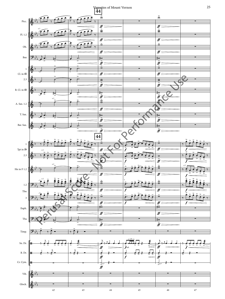